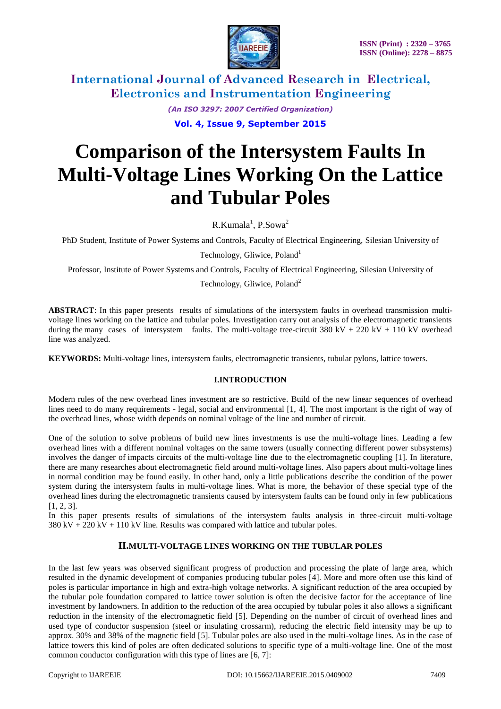

> *(An ISO 3297: 2007 Certified Organization)* **Vol. 4, Issue 9, September 2015**

# **Comparison of the Intersystem Faults In Multi-Voltage Lines Working On the Lattice and Tubular Poles**

 $R.Kumala<sup>1</sup>, P.Sowa<sup>2</sup>$ 

PhD Student, Institute of Power Systems and Controls, Faculty of Electrical Engineering, Silesian University of

Technology, Gliwice, Poland<sup>1</sup>

Professor, Institute of Power Systems and Controls, Faculty of Electrical Engineering, Silesian University of

Technology, Gliwice, Poland<sup>2</sup>

**ABSTRACT**: In this paper presents results of simulations of the intersystem faults in overhead transmission multivoltage lines working on the lattice and tubular poles. Investigation carry out analysis of the electromagnetic transients during the many cases of intersystem faults. The multi-voltage tree-circuit 380 kV + 220 kV + 110 kV overhead line was analyzed.

**KEYWORDS:** Multi-voltage lines, intersystem faults, electromagnetic transients, tubular pylons, lattice towers.

#### **I.INTRODUCTION**

Modern rules of the new overhead lines investment are so restrictive. Build of the new linear sequences of overhead lines need to do many requirements - legal, social and environmental [1, 4]. The most important is the right of way of the overhead lines, whose width depends on nominal voltage of the line and number of circuit.

One of the solution to solve problems of build new lines investments is use the multi-voltage lines. Leading a few overhead lines with a different nominal voltages on the same towers (usually connecting different power subsystems) involves the danger of impacts circuits of the multi-voltage line due to the electromagnetic coupling [1]. In literature, there are many researches about electromagnetic field around multi-voltage lines. Also papers about multi-voltage lines in normal condition may be found easily. In other hand, only a little publications describe the condition of the power system during the intersystem faults in multi-voltage lines. What is more, the behavior of these special type of the overhead lines during the electromagnetic transients caused by intersystem faults can be found only in few publications [1, 2, 3].

In this paper presents results of simulations of the intersystem faults analysis in three-circuit multi-voltage  $380 \text{ kV} + 220 \text{ kV} + 110 \text{ kV}$  line. Results was compared with lattice and tubular poles.

### **II.MULTI-VOLTAGE LINES WORKING ON THE TUBULAR POLES**

In the last few years was observed significant progress of production and processing the plate of large area, which resulted in the dynamic development of companies producing tubular poles [4]. More and more often use this kind of poles is particular importance in high and extra-high voltage networks. A significant reduction of the area occupied by the tubular pole foundation compared to lattice tower solution is often the decisive factor for the acceptance of line investment by landowners. In addition to the reduction of the area occupied by tubular poles it also allows a significant reduction in the intensity of the electromagnetic field [5]. Depending on the number of circuit of overhead lines and used type of conductor suspension (steel or insulating crossarm), reducing the electric field intensity may be up to approx. 30% and 38% of the magnetic field [5]. Tubular poles are also used in the multi-voltage lines. As in the case of lattice towers this kind of poles are often dedicated solutions to specific type of a multi-voltage line. One of the most common conductor configuration with this type of lines are [6, 7]: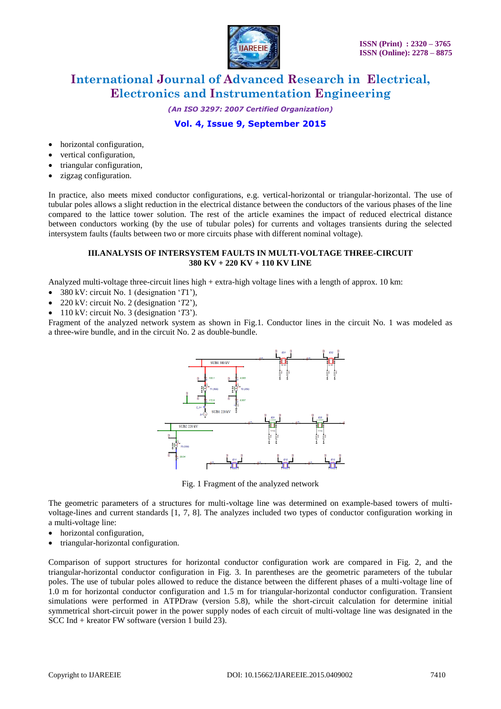

*(An ISO 3297: 2007 Certified Organization)*

## **Vol. 4, Issue 9, September 2015**

- horizontal configuration,
- vertical configuration,
- triangular configuration,
- zigzag configuration.

In practice, also meets mixed conductor configurations, e.g. vertical-horizontal or triangular-horizontal. The use of tubular poles allows a slight reduction in the electrical distance between the conductors of the various phases of the line compared to the lattice tower solution. The rest of the article examines the impact of reduced electrical distance between conductors working (by the use of tubular poles) for currents and voltages transients during the selected intersystem faults (faults between two or more circuits phase with different nominal voltage).

#### **III.ANALYSIS OF INTERSYSTEM FAULTS IN MULTI-VOLTAGE THREE-CIRCUIT 380 KV + 220 KV + 110 KV LINE**

Analyzed multi-voltage three-circuit lines high + extra-high voltage lines with a length of approx. 10 km:

- 380 kV: circuit No. 1 (designation "*T*1"),
- 220 kV: circuit No. 2 (designation "*T*2"),
- 110 kV: circuit No. 3 (designation "*T*3").

Fragment of the analyzed network system as shown in Fig.1. Conductor lines in the circuit No. 1 was modeled as a three-wire bundle, and in the circuit No. 2 as double-bundle.



Fig. 1 Fragment of the analyzed network

The geometric parameters of a structures for multi-voltage line was determined on example-based towers of multivoltage-lines and current standards [1, 7, 8]. The analyzes included two types of conductor configuration working in a multi-voltage line:

- horizontal configuration,
- triangular-horizontal configuration.

Comparison of support structures for horizontal conductor configuration work are compared in Fig. 2, and the triangular-horizontal conductor configuration in Fig. 3. In parentheses are the geometric parameters of the tubular poles. The use of tubular poles allowed to reduce the distance between the different phases of a multi-voltage line of 1.0 m for horizontal conductor configuration and 1.5 m for triangular-horizontal conductor configuration. Transient simulations were performed in ATPDraw (version 5.8), while the short-circuit calculation for determine initial symmetrical short-circuit power in the power supply nodes of each circuit of multi-voltage line was designated in the SCC Ind + kreator FW software (version 1 build 23).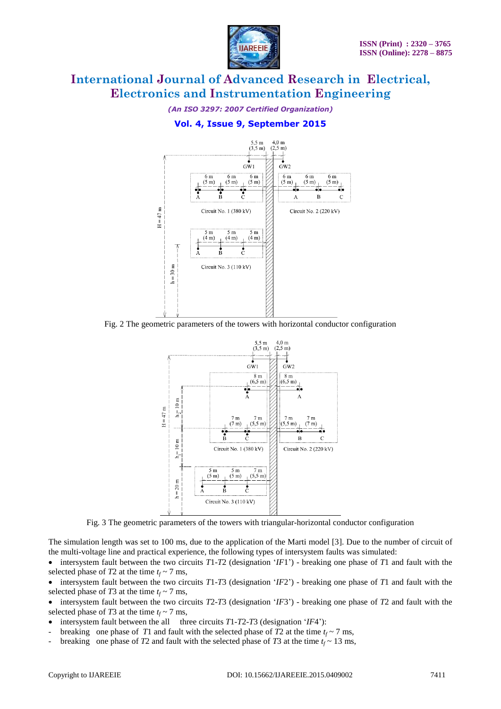

*(An ISO 3297: 2007 Certified Organization)*

**Vol. 4, Issue 9, September 2015**



Fig. 2 The geometric parameters of the towers with horizontal conductor configuration



Fig. 3 The geometric parameters of the towers with triangular-horizontal conductor configuration

The simulation length was set to 100 ms, due to the application of the Marti model [3]. Due to the number of circuit of the multi-voltage line and practical experience, the following types of intersystem faults was simulated:

 intersystem fault between the two circuits *T*1-*T*2 (designation "*IF*1") - breaking one phase of *T*1 and fault with the selected phase of *T*2 at the time  $t_f \sim 7$  ms,

 intersystem fault between the two circuits *T*1-*T*3 (designation "*IF*2") - breaking one phase of *T*1 and fault with the selected phase of *T*3 at the time  $t_f \sim 7$  ms,

 $\bullet$  intersystem fault between the two circuits *T*2-*T*3 (designation '*IF*3') - breaking one phase of *T*2 and fault with the selected phase of *T*3 at the time  $t_f \sim 7$  ms,

- intersystem fault between the all three circuits *T*1-*T*2-*T*3 (designation "*IF*4"):
- breaking one phase of *T*1 and fault with the selected phase of *T*2 at the time  $t_f \sim 7$  ms,
- breaking one phase of *T*2 and fault with the selected phase of *T*3 at the time  $t_f \sim 13$  ms,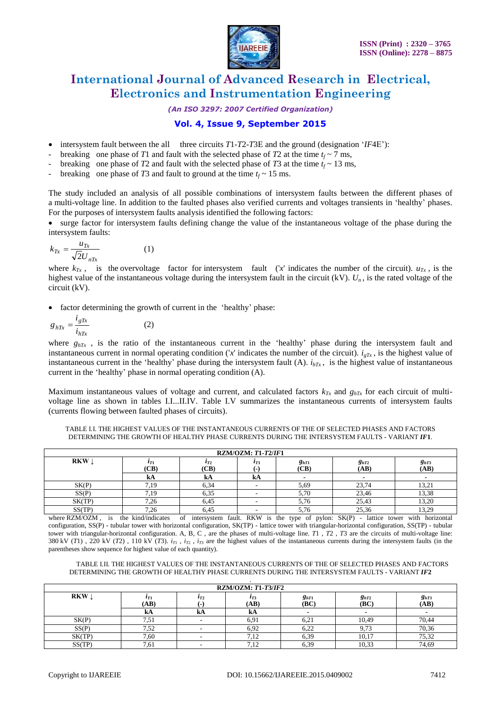

#### *(An ISO 3297: 2007 Certified Organization)*

## **Vol. 4, Issue 9, September 2015**

- intersystem fault between the all three circuits *T*1-*T*2-*T*3E and the ground (designation "*IF*4E"):
- breaking one phase of *T*1 and fault with the selected phase of *T*2 at the time  $t_f \sim 7$  ms,
- breaking one phase of *T*2 and fault with the selected phase of *T*3 at the time  $t_f \sim 13$  ms,
- breaking one phase of *T*3 and fault to ground at the time  $t_f \sim 15$  ms.

The study included an analysis of all possible combinations of intersystem faults between the different phases of a multi-voltage line. In addition to the faulted phases also verified currents and voltages transients in "healthy" phases. For the purposes of intersystem faults analysis identified the following factors:

 surge factor for intersystem faults defining change the value of the instantaneous voltage of the phase during the intersystem faults:

$$
k_{Tx} = \frac{u_{Tx}}{\sqrt{2}U_{nTx}}\tag{1}
$$

where  $k_{Tx}$ , is the overvoltage factor for intersystem fault ('*x*' indicates the number of the circuit).  $u_{Tx}$ , is the highest value of the instantaneous voltage during the intersystem fault in the circuit (kV).  $U_n$ , is the rated voltage of the circuit (kV).

factor determining the growth of current in the "healthy" phase:

$$
g_{hTx} = \frac{i_{gTx}}{i_{hTx}}\tag{2}
$$

where  $g_{hTx}$ , is the ratio of the instantaneous current in the 'healthy' phase during the intersystem fault and instantaneous current in normal operating condition ('*x*' indicates the number of the circuit).  $i_{gTx}$ , is the highest value of instantaneous current in the "healthy" phase during the intersystem fault (A). *ihTx* , is the highest value of instantaneous current in the "healthy" phase in normal operating condition (A).

Maximum instantaneous values of voltage and current, and calculated factors  $k_{Tx}$  and  $g_{hTx}$  for each circuit of multivoltage line as shown in tables I.I...II.IV. Table I.V summarizes the instantaneous currents of intersystem faults (currents flowing between faulted phases of circuits).

TABLE I.I. THE HIGHEST VALUES OF THE INSTANTANEOUS CURRENTS OF THE OF SELECTED PHASES AND FACTORS DETERMINING THE GROWTH OF HEALTHY PHASE CURRENTS DURING THE INTERSYSTEM FAULTS - VARIANT *IF***1**.

| $RZM/OZM: T1-T2/IF1$ |                      |                      |                     |                   |                   |                   |  |
|----------------------|----------------------|----------------------|---------------------|-------------------|-------------------|-------------------|--|
| RKW.                 | $\iota_{T1}$<br>(CB) | $\iota_{T2}$<br>(CB) | $\iota_{T3}$<br>. . | $g_{hT1}$<br>(CB) | $g_{hT2}$<br>(AB) | $g_{hT3}$<br>(AB) |  |
|                      | kA                   | kА                   | kA                  |                   |                   |                   |  |
| SK(P)                | 719                  | 6,34                 |                     | 5,69              | 23,74             | 13.21<br>13, 21   |  |
| SS(P)                | .19                  | 6,35                 | -                   | 5.70              | 23,46             | 13,38             |  |
| SK(TP)               | 7.26                 | 6,45                 |                     | <b>D.</b> 70      | 25,43             | 13.20             |  |
| SS(TP)               | 7,26                 | 6,45                 |                     | 2. ZC             | 25,36             | 13.20<br>ے کہ ا   |  |

where RZM/OZM, is the kind/indicates of intersystem fault. RKW is the type of pylon: SK(P) - lattice tower with horizontal configuration, SS(P) - tubular tower with horizontal configuration, SK(TP) - lattice tower with triangular-horizontal configuration, SS(TP) - tubular tower with triangular-horizontal configuration. A, B, C , are the phases of multi-voltage line. *T*1 , *T*2 , *T*3 are the circuits of multi-voltage line: 380 kV ( $T1$ ), 220 kV ( $T2$ ), 110 kV ( $T3$ ),  $i_T$ ,  $i_T$ ,  $i_T$  are the highest values of the instantaneous currents during the intersystem faults (in the parentheses show sequence for highest value of each quantity).

TABLE I.II. THE HIGHEST VALUES OF THE INSTANTANEOUS CURRENTS OF THE OF SELECTED PHASES AND FACTORS DETERMINING THE GROWTH OF HEALTHY PHASE CURRENTS DURING THE INTERSYSTEM FAULTS - VARIANT *IF***2** .

| $RZM/OZM: T1-T3/IF2$ |                      |                    |                      |                   |                   |                   |  |  |
|----------------------|----------------------|--------------------|----------------------|-------------------|-------------------|-------------------|--|--|
| RKW.                 | $\iota_{T1}$<br>(AB) | $\iota_{T2}$<br>٠. | $\iota_{T3}$<br>(AB) | $g_{hT1}$<br>(BC) | $g_{hT2}$<br>(BC) | $g_{hT3}$<br>(AB) |  |  |
|                      | kA                   | kA                 | kA                   |                   |                   |                   |  |  |
| SK(P)                | 1.51                 |                    | 6,91                 | 6,21              | 10,49             | 70,44             |  |  |
| SS(P)                | 7,52                 |                    | 6,92                 | 6,22              | 9,73              | 70,36             |  |  |
| SK(TP)               | 7,60                 |                    | 7,12                 | 6,39              | 10,17             | 75,32             |  |  |
| SS(TP)               | 7,61                 |                    | 7,12                 | 6,39              | 10,33             | 74,69             |  |  |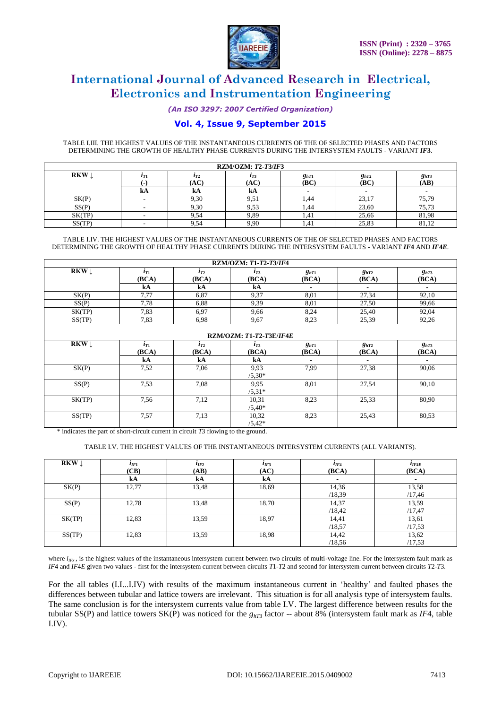

*(An ISO 3297: 2007 Certified Organization)*

## **Vol. 4, Issue 9, September 2015**

TABLE I.III. THE HIGHEST VALUES OF THE INSTANTANEOUS CURRENTS OF THE OF SELECTED PHASES AND FACTORS DETERMINING THE GROWTH OF HEALTHY PHASE CURRENTS DURING THE INTERSYSTEM FAULTS - VARIANT *IF***3**.

| <b>RZM/OZM: T2-T3/IF3</b> |          |                 |                  |                   |                          |                   |  |  |
|---------------------------|----------|-----------------|------------------|-------------------|--------------------------|-------------------|--|--|
| RKW.                      | $l_{T1}$ | $l_{T2}$<br>AC) | $l_{T3}$<br>(AC) | $g_{hT1}$<br>(BC) | $g_{hT2}$<br>(BC)        | $g_{hT3}$<br>(AB) |  |  |
|                           | КA       | kA              | kA               |                   | $\overline{\phantom{a}}$ |                   |  |  |
| SK(P)                     |          | 9,30            | 9,51             | .44               | 23,17                    | 75,79             |  |  |
| SS(P)                     |          | 9.30            | 9,53             | .44               | 23,60                    | 75,73             |  |  |
| SK(TP)                    |          | 9.54            | 9,89             | 1.41              | 25.66                    | 81.98             |  |  |
| SS(TP)                    |          | 9,54            | 9,90             | 1,41              | 25,83                    | 81,12             |  |  |

TABLE I.IV. THE HIGHEST VALUES OF THE INSTANTANEOUS CURRENTS OF THE OF SELECTED PHASES AND FACTORS DETERMINING THE GROWTH OF HEALTHY PHASE CURRENTS DURING THE INTERSYSTEM FAULTS - VARIANT *IF***4** AND *IF***4***E*.

| RZM/OZM: T1-T2-T3/IF4   |                                |                   |                   |                    |                          |                    |  |  |
|-------------------------|--------------------------------|-------------------|-------------------|--------------------|--------------------------|--------------------|--|--|
| <b>RKW</b> $\downarrow$ | $i_{T1}$<br>(BCA)              | $i_{T2}$<br>(BCA) | $l_{T3}$<br>(BCA) | $g_{hT1}$<br>(BCA) | $g_{hT2}$<br>(BCA)       | $g_{hT3}$<br>(BCA) |  |  |
|                         | kA                             | kA                | kA                | $\blacksquare$     | $\blacksquare$           | $\blacksquare$     |  |  |
| SK(P)                   | 7,77                           | 6,87              | 9,37              | 8,01               | 27,34                    | 92,10              |  |  |
| SS(P)                   | 7,78                           | 6.88              | 9,39              | 8,01               | 27,50                    | 99,66              |  |  |
| SK(TP)                  | 7,83                           | 6,97              | 9,66              | 8,24               | 25,40                    | 92,04              |  |  |
| SS(TP)                  | 7,83                           | 6,98              | 9,67              | 8,23               | 25,39                    | 92,26              |  |  |
|                         | <b>RZM/OZM: T1-T2-T3E/IF4E</b> |                   |                   |                    |                          |                    |  |  |
| $RKW \downarrow$        | $i_{T1}$<br>(BCA)              | $i_{T2}$<br>(BCA) | $l_{T3}$<br>(BCA) | $g_{hT1}$<br>(BCA) | $g_{hT2}$<br>(BCA)       | $g_{hT3}$<br>(BCA) |  |  |
|                         | kA                             | kA                | kA                | $\blacksquare$     | $\overline{\phantom{a}}$ | $\blacksquare$     |  |  |
| SK(P)                   | 7,52                           | 7,06              | 9,93<br>$/5,30*$  | 7,99               | 27,38                    | 90,06              |  |  |
| SS(P)                   | 7,53                           | 7.08              | 9.95<br>$/5.31*$  | 8,01               | 27,54                    | 90,10              |  |  |
| SK(TP)                  | 7,56                           | 7,12              | 10,31<br>$/5,40*$ | 8,23               | 25,33                    | 80,90              |  |  |
| SS(TP)                  | 7,57                           | 7.13              | 10,32<br>$/5,42*$ | 8,23               | 25,43                    | 80,53              |  |  |

\* indicates the part of short-circuit current in circuit *T*3 flowing to the ground.

TABLE I.V. THE HIGHEST VALUES OF THE INSTANTANEOUS INTERSYSTEM CURRENTS (ALL VARIANTS).

| <b>RKW</b> $\downarrow$ | $l_{IF1}$<br>(CB) | $i_{IF2}$<br>(AB) | $l_{IF3}$<br>(AC) | $l_{IF4}$<br>(BCA) | $i_{IF4E}$<br>(BCA) |
|-------------------------|-------------------|-------------------|-------------------|--------------------|---------------------|
|                         | kA                | kA                | kA                |                    |                     |
| SK(P)                   | 12,77             | 13,48             | 18,69             | 14,36              | 13,58               |
|                         |                   |                   |                   | /18,39             | /17,46              |
| SS(P)                   | 12,78             | 13,48             | 18,70             | 14,37              | 13,59               |
|                         |                   |                   |                   | /18,42             | /17,47              |
| SK(TP)                  | 12,83             | 13,59             | 18,97             | 14,41              | 13,61               |
|                         |                   |                   |                   | /18.57             | /17,53              |
| SS(TP)                  | 12,83             | 13,59             | 18,98             | 14,42              | 13,62               |
|                         |                   |                   |                   | /18,56             | /17,53              |

where  $i_{Ifx}$ , is the highest values of the instantaneous intersystem current between two circuits of multi-voltage line. For the intersystem fault mark as *IF*4 and *IF*4*E* given two values - first for the intersystem current between circuits *T*1-*T*2 and second for intersystem current between circuits *T*2-*T*3.

For the all tables (I.I...I.IV) with results of the maximum instantaneous current in "healthy" and faulted phases the differences between tubular and lattice towers are irrelevant. This situation is for all analysis type of intersystem faults. The same conclusion is for the intersystem currents value from table I.V. The largest difference between results for the tubular SS(P) and lattice towers SK(P) was noticed for the  $g<sub>hT3</sub>$  factor -- about 8% (intersystem fault mark as *IF4*, table I.IV).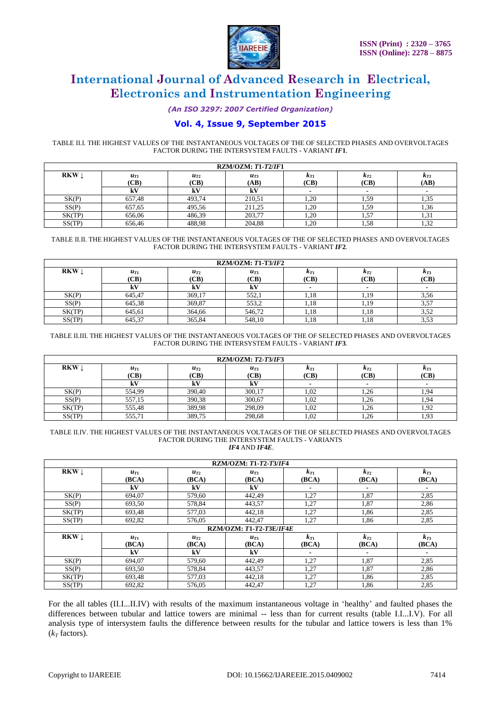

*(An ISO 3297: 2007 Certified Organization)*

## **Vol. 4, Issue 9, September 2015**

TABLE II.I. THE HIGHEST VALUES OF THE INSTANTANEOUS VOLTAGES OF THE OF SELECTED PHASES AND OVERVOLTAGES FACTOR DURING THE INTERSYSTEM FAULTS - VARIANT *IF***1**.

| $RZM/OZM: T1-T2/IF1$ |                  |                 |                  |                  |                  |                          |  |  |
|----------------------|------------------|-----------------|------------------|------------------|------------------|--------------------------|--|--|
| <b>RKW</b>           | $u_{T1}$<br>(CB) | $u_{T2}$<br>CB) | $u_{T3}$<br>(AB) | $k_{T1}$<br>(CB) | $K_{T2}$<br>(CB) | $K_{T3}$<br>(AB)         |  |  |
|                      | kV               | kV              | kV               |                  | $\blacksquare$   | $\overline{\phantom{a}}$ |  |  |
| SK(P)                | 657.48           | 493.74          | 210,51           | 1,20             | 1,59             | 1,35                     |  |  |
| SS(P)                | 657.65           | 495.56          | 211.25           | 1,20             | 1,59             | 1,36                     |  |  |
| SK(TP)               | 656.06           | 486.39          | 203.77           | 1.20             | 1,57             | 1,31                     |  |  |
| SS(TP)               | 656.46           | 488.98          | 204.88           | 1,20             | 1,58             | $\gamma$<br>1,52         |  |  |

TABLE II.II. THE HIGHEST VALUES OF THE INSTANTANEOUS VOLTAGES OF THE OF SELECTED PHASES AND OVERVOLTAGES FACTOR DURING THE INTERSYSTEM FAULTS - VARIANT *IF***2**.

| $RZM/OZM: T1-T3/IF2$ |                  |                  |                  |                       |                       |                  |  |  |
|----------------------|------------------|------------------|------------------|-----------------------|-----------------------|------------------|--|--|
| <b>RKW</b>           | $u_{T1}$<br>(CB) | $u_{T2}$<br>'CB) | $u_{T3}$<br>(CB) | $\kappa_{T1}$<br>(CB) | $\kappa_{T2}$<br>(CB) | $K_{T3}$<br>(CB) |  |  |
|                      | kV               | k٧               | kV               |                       | ٠                     | $\blacksquare$   |  |  |
| SK(P)                | 645,47           | 369.17           | 552,1            | 1.18                  |                       | 3,56             |  |  |
| SS(P)                | 645,38           | 369,87           | 553.2            | 1.18                  | 1.19                  | 57<br>. پ. پ     |  |  |
| SK(TP)               | 645.61           | 364.66           | 546.72           | 1.18                  | 1.18                  | 352<br>ے د.و     |  |  |
| SS(TP)               | 645,37           | 365,84           | 548,10           | 1,18                  | 1,18                  | 3.JJ             |  |  |

TABLE II.III. THE HIGHEST VALUES OF THE INSTANTANEOUS VOLTAGES OF THE OF SELECTED PHASES AND OVERVOLTAGES FACTOR DURING THE INTERSYSTEM FAULTS - VARIANT *IF***3**.

| <b>RZM/OZM: T2-T3/IF3</b> |                  |                  |                  |                  |                  |                  |  |  |
|---------------------------|------------------|------------------|------------------|------------------|------------------|------------------|--|--|
| RKW                       | $u_{T1}$<br>(CB) | $u_{T2}$<br>(CB) | $u_{T3}$<br>(CB) | $K_{T1}$<br>(CB) | $K_{T2}$<br>(CB) | $K_{T3}$<br>(CB) |  |  |
|                           | kV               | kV               | kV               |                  |                  |                  |  |  |
| SK(P)                     | 554,99           | 390.40           | 300,17           | 1,02             | 1,26             | 94               |  |  |
| SS(P)                     | 557,15           | 390,38           | 300.67           | 1.02             | 1.26             | 1.94             |  |  |
| SK(TP)                    | 555.48           | 389.98           | 298,09           | 1,02             | 1,26             | 1,92             |  |  |
| SS(TP)                    | 555,71           | 389,75           | 298,68           | 1,02             | 1,26             | 1,93             |  |  |

#### TABLE II.IV. THE HIGHEST VALUES OF THE INSTANTANEOUS VOLTAGES OF THE OF SELECTED PHASES AND OVERVOLTAGES FACTOR DURING THE INTERSYSTEM FAULTS - VARIANTS *IF***4** AND *IF***4***E*.

**RZM/OZM:** *T***1-***T***2-***T***3/***IF***4 RKW**  $\downarrow$  *u*<sub>T1</sub> **(BCA)** *uT***<sup>2</sup> (BCA)** *uT***<sup>3</sup> (BCA)** *kT***<sup>1</sup> (BCA)** *kT***<sup>2</sup> (BCA)** *kT***<sup>3</sup> (BCA) kV kV kV - - -** SK(P) 694,07 | 579,60 | 442,49 | 1,27 | 1,87 | 2,85 SS(P) 693,50 578,84 443,57 1,27 1,87 2,86 SK(TP) 693,48 577,03 442,18 1,27 1,86 2,85 SS(TP) | 692,82 | 576,05 | 442,47 | 1,27 | 1,86 | 2,85 **RZM/OZM:** *T***1-***T***2-***T***3E/***IF***4***E* **RKW**  $\downarrow$  *u*<sub>T1</sub> **(BCA)**  $u_T$ **(BCA)**  $u_{T}$ **(BCA)**  $k_{T1}$ **(BCA)**  $k_{T2}$ **(BCA)**  $k_{T3}$ **(BCA) kV kV kV - - -** SK(P) 694,07 | 579,60 | 442,49 | 1,27 | 1,87 | 2,85 SS(P) 693,50 578,84 443,57 1,27 1,87 2,86 SK(TP) 693,48 577,03 442,18 1,27 1,86 2,85 SS(TP) 692,82 576,05 442,47 1,27 1,86 2,85

For the all tables (II.I...II.IV) with results of the maximum instantaneous voltage in "healthy" and faulted phases the differences between tubular and lattice towers are minimal -- less than for current results (table I.I...I.V). For all analysis type of intersystem faults the difference between results for the tubular and lattice towers is less than 1%  $(k<sub>r</sub>$  factors).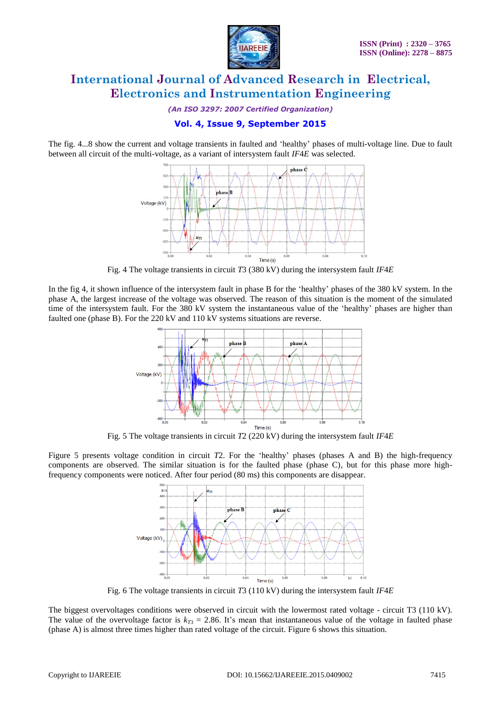

*(An ISO 3297: 2007 Certified Organization)*

## **Vol. 4, Issue 9, September 2015**

The fig. 4...8 show the current and voltage transients in faulted and "healthy" phases of multi-voltage line. Due to fault between all circuit of the multi-voltage, as a variant of intersystem fault *IF*4*E* was selected.



Fig. 4 The voltage transients in circuit *T*3 (380 kV) during the intersystem fault *IF*4*E*

In the fig 4, it shown influence of the intersystem fault in phase B for the "healthy" phases of the 380 kV system. In the phase A, the largest increase of the voltage was observed. The reason of this situation is the moment of the simulated time of the intersystem fault. For the 380 kV system the instantaneous value of the "healthy" phases are higher than faulted one (phase B). For the 220 kV and 110 kV systems situations are reverse.



Fig. 5 The voltage transients in circuit *T*2 (220 kV) during the intersystem fault *IF*4*E*

Figure 5 presents voltage condition in circuit *T*2. For the "healthy" phases (phases A and B) the high-frequency components are observed. The similar situation is for the faulted phase (phase C), but for this phase more highfrequency components were noticed. After four period (80 ms) this components are disappear.



Fig. 6 The voltage transients in circuit *T*3 (110 kV) during the intersystem fault *IF*4*E*

The biggest overvoltages conditions were observed in circuit with the lowermost rated voltage - circuit T3 (110 kV). The value of the overvoltage factor is  $k_{T3} = 2.86$ . It's mean that instantaneous value of the voltage in faulted phase (phase A) is almost three times higher than rated voltage of the circuit. Figure 6 shows this situation.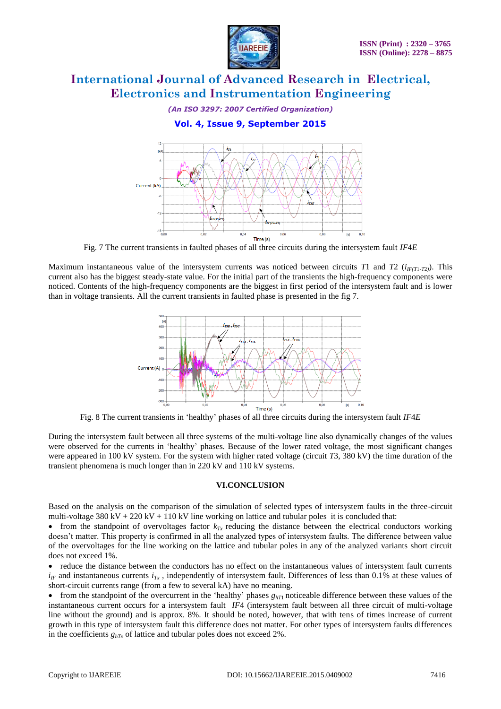

#### *(An ISO 3297: 2007 Certified Organization)*

## **Vol. 4, Issue 9, September 2015**



Fig. 7 The current transients in faulted phases of all three circuits during the intersystem fault *IF*4*E*

Maximum instantaneous value of the intersystem currents was noticed between circuits *T*1 and *T2* ( $i_{IF(T1,T2)}$ ). This current also has the biggest steady-state value. For the initial part of the transients the high-frequency components were noticed. Contents of the high-frequency components are the biggest in first period of the intersystem fault and is lower than in voltage transients. All the current transients in faulted phase is presented in the fig 7.



Fig. 8 The current transients in "healthy" phases of all three circuits during the intersystem fault *IF*4*E*

During the intersystem fault between all three systems of the multi-voltage line also dynamically changes of the values were observed for the currents in "healthy" phases. Because of the lower rated voltage, the most significant changes were appeared in 100 kV system. For the system with higher rated voltage (circuit *T*3, 380 kV) the time duration of the transient phenomena is much longer than in 220 kV and 110 kV systems.

#### **VI.CONCLUSION**

Based on the analysis on the comparison of the simulation of selected types of intersystem faults in the three-circuit multi-voltage 380 kV + 220 kV + 110 kV line working on lattice and tubular poles it is concluded that:

• from the standpoint of overvoltages factor  $k_T$  reducing the distance between the electrical conductors working doesn't matter. This property is confirmed in all the analyzed types of intersystem faults. The difference between value of the overvoltages for the line working on the lattice and tubular poles in any of the analyzed variants short circuit does not exceed 1%.

 reduce the distance between the conductors has no effect on the instantaneous values of intersystem fault currents  $i_{IF}$  and instantaneous currents  $i_{Tx}$ , independently of intersystem fault. Differences of less than 0.1% at these values of short-circuit currents range (from a few to several kA) have no meaning.

 $\bullet$  from the standpoint of the overcurrent in the 'healthy' phases  $g_{hT}$  noticeable difference between these values of the instantaneous current occurs for a intersystem fault *IF*4 (intersystem fault between all three circuit of multi-voltage line without the ground) and is approx. 8%. It should be noted, however, that with tens of times increase of current growth in this type of intersystem fault this difference does not matter. For other types of intersystem faults differences in the coefficients *ghTx* of lattice and tubular poles does not exceed 2%.